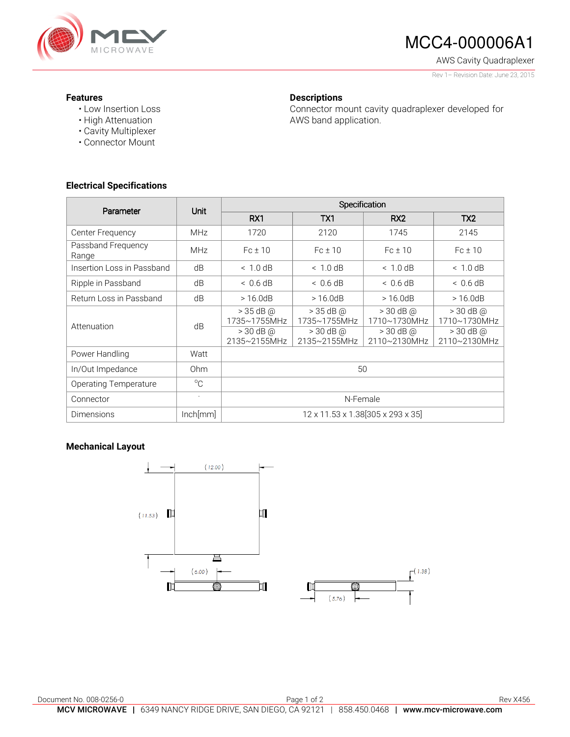

# MCC4-000006A1

AWS Cavity Quadraplexer

Rev 1– Revision Date: June 23, 2015

### **Features**

- Low Insertion Loss
- High Attenuation
- Cavity Multiplexer
- Connector Mount

# **Descriptions**

Connector mount cavity quadraplexer developed for AWS band application.

## **Electrical Specifications**

| Parameter                    | <b>Unit</b>              | Specification                                              |                                                                   |                                                                |                                                            |
|------------------------------|--------------------------|------------------------------------------------------------|-------------------------------------------------------------------|----------------------------------------------------------------|------------------------------------------------------------|
|                              |                          | RX1                                                        | TX1                                                               | RX <sub>2</sub>                                                | TX <sub>2</sub>                                            |
| Center Frequency             | <b>MHz</b>               | 1720                                                       | 2120                                                              | 1745                                                           | 2145                                                       |
| Passband Frequency<br>Range  | <b>MHz</b>               | $Fc \pm 10$                                                | $Fc \pm 10$                                                       | $Fc \pm 10$                                                    | $Fc \pm 10$                                                |
| Insertion Loss in Passband   | dB                       | < 1.0 dB                                                   | < 1.0 dB                                                          | < 1.0 dB                                                       | ~<~1.0~dB                                                  |
| Ripple in Passband           | dB                       | < 0.6 dB                                                   | < 0.6 dB                                                          | $< 0.6$ dB                                                     | < 0.6 dB                                                   |
| Return Loss in Passband      | dB                       | >16.0dB                                                    | >16.0dB                                                           | >16.0dB                                                        | >16.0dB                                                    |
| Attenuation                  | dB                       | $> 35$ dB @<br>1735~1755MHz<br>$> 30$ dB @<br>2135~2155MHz | $>$ 35 dB @<br>1735~1755MHz<br>$>$ 30 dB $\omega$<br>2135~2155MHz | $>$ 30 dB $@$<br>1710~1730MHz<br>$>$ 30 dB $@$<br>2110~2130MHz | $>$ 30 dB @<br>1710~1730MHz<br>$> 30$ dB @<br>2110~2130MHz |
| Power Handling               | Watt                     |                                                            |                                                                   |                                                                |                                                            |
| In/Out Impedance             | Ohm                      | 50                                                         |                                                                   |                                                                |                                                            |
| <b>Operating Temperature</b> | $^{\circ}$ C             |                                                            |                                                                   |                                                                |                                                            |
| Connector                    | $\overline{\phantom{a}}$ | N-Female                                                   |                                                                   |                                                                |                                                            |
| <b>Dimensions</b>            | lnch[mm]                 | 12 x 11.53 x 1.38 305 x 293 x 35                           |                                                                   |                                                                |                                                            |

### **Mechanical Layout**